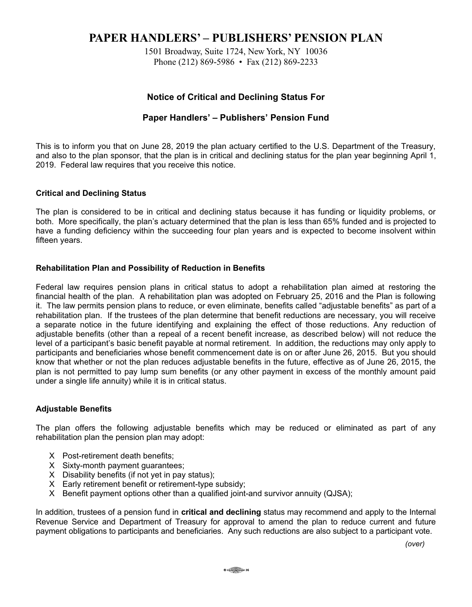# **PAPER HANDLERS' - PUBLISHERS' PENSION PLAN**

1501 Broadway, Suite 1724, New York, NY 10036 Phone (212) 869-5986 • Fax (212) 869-2233

# **Notice of Critical and Declining Status For**

## Paper Handlers' - Publishers' Pension Fund

This is to inform you that on June 28, 2019 the plan actuary certified to the U.S. Department of the Treasury, and also to the plan sponsor, that the plan is in critical and declining status for the plan year beginning April 1, 2019. Federal law requires that you receive this notice.

## **Critical and Declining Status**

The plan is considered to be in critical and declining status because it has funding or liquidity problems, or both. More specifically, the plan's actuary determined that the plan is less than 65% funded and is projected to have a funding deficiency within the succeeding four plan years and is expected to become insolvent within fifteen years.

## **Rehabilitation Plan and Possibility of Reduction in Benefits**

Federal law requires pension plans in critical status to adopt a rehabilitation plan aimed at restoring the financial health of the plan. A rehabilitation plan was adopted on February 25, 2016 and the Plan is following it. The law permits pension plans to reduce, or even eliminate, benefits called "adjustable benefits" as part of a rehabilitation plan. If the trustees of the plan determine that benefit reductions are necessary, you will receive a separate notice in the future identifying and explaining the effect of those reductions. Any reduction of adjustable benefits (other than a repeal of a recent benefit increase, as described below) will not reduce the level of a participant's basic benefit payable at normal retirement. In addition, the reductions may only apply to participants and beneficiaries whose benefit commencement date is on or after June 26, 2015. But you should know that whether or not the plan reduces adjustable benefits in the future, effective as of June 26, 2015, the plan is not permitted to pay lump sum benefits (or any other payment in excess of the monthly amount paid under a single life annuity) while it is in critical status.

#### **Adjustable Benefits**

The plan offers the following adjustable benefits which may be reduced or eliminated as part of any rehabilitation plan the pension plan may adopt:

- X Post-retirement death benefits:
- X Sixty-month payment quarantees:
- X Disability benefits (if not yet in pay status);
- X Early retirement benefit or retirement-type subsidy;
- X Benefit payment options other than a qualified joint-and survivor annuity (QJSA);

In addition, trustees of a pension fund in critical and declining status may recommend and apply to the Internal Revenue Service and Department of Treasury for approval to amend the plan to reduce current and future payment obligations to participants and beneficiaries. Any such reductions are also subject to a participant vote.

 $\circ \circ \circ \circ \circ \circ$